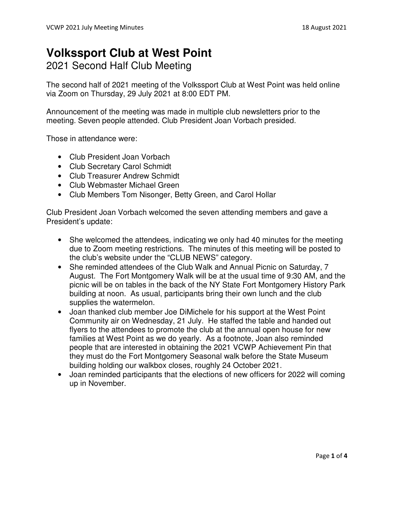## **Volkssport Club at West Point**

2021 Second Half Club Meeting

The second half of 2021 meeting of the Volkssport Club at West Point was held online via Zoom on Thursday, 29 July 2021 at 8:00 EDT PM.

Announcement of the meeting was made in multiple club newsletters prior to the meeting. Seven people attended. Club President Joan Vorbach presided.

Those in attendance were:

- Club President Joan Vorbach
- Club Secretary Carol Schmidt
- Club Treasurer Andrew Schmidt
- Club Webmaster Michael Green
- Club Members Tom Nisonger, Betty Green, and Carol Hollar

Club President Joan Vorbach welcomed the seven attending members and gave a President's update:

- She welcomed the attendees, indicating we only had 40 minutes for the meeting due to Zoom meeting restrictions. The minutes of this meeting will be posted to the club's website under the "CLUB NEWS" category.
- She reminded attendees of the Club Walk and Annual Picnic on Saturday, 7 August. The Fort Montgomery Walk will be at the usual time of 9:30 AM, and the picnic will be on tables in the back of the NY State Fort Montgomery History Park building at noon. As usual, participants bring their own lunch and the club supplies the watermelon.
- Joan thanked club member Joe DiMichele for his support at the West Point Community air on Wednesday, 21 July. He staffed the table and handed out flyers to the attendees to promote the club at the annual open house for new families at West Point as we do yearly. As a footnote, Joan also reminded people that are interested in obtaining the 2021 VCWP Achievement Pin that they must do the Fort Montgomery Seasonal walk before the State Museum building holding our walkbox closes, roughly 24 October 2021.
- Joan reminded participants that the elections of new officers for 2022 will coming up in November.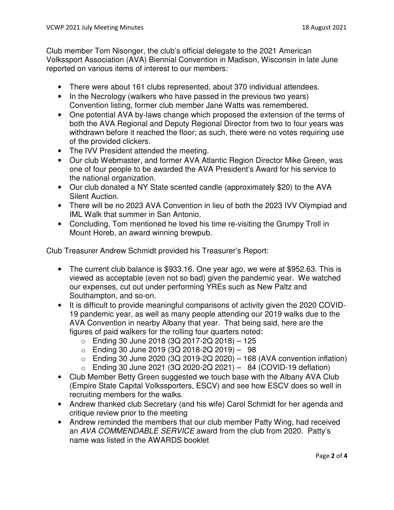Club member Tom Nisonger, the club's official delegate to the 2021 American Volkssport Association (AVA) Biennial Convention in Madison, Wisconsin in late June reported on various items of interest to our members:

- There were about 161 clubs represented, about 370 individual attendees.
- In the Necrology (walkers who have passed in the previous two years) Convention listing, former club member Jane Watts was remembered.
- One potential AVA by-laws change which proposed the extension of the terms of both the AVA Regional and Deputy Regional Director from two to four years was withdrawn before it reached the floor; as such, there were no votes requiring use of the provided clickers.
- The IVV President attended the meeting.
- Our club Webmaster, and former AVA Atlantic Region Director Mike Green, was one of four people to be awarded the AVA President's Award for his service to the national organization.
- Our club donated a NY State scented candle (approximately \$20) to the AVA Silent Auction.
- There will be no 2023 AVA Convention in lieu of both the 2023 IVV Olympiad and IML Walk that summer in San Antonio.
- Concluding, Tom mentioned he loved his time re-visiting the Grumpy Troll in Mount Horeb, an award winning brewpub.

Club Treasurer Andrew Schmidt provided his Treasurer's Report:

- The current club balance is \$933.16. One year ago, we were at \$952.63. This is viewed as acceptable (even not so bad) given the pandemic year. We watched our expenses, cut out under performing YREs such as New Paltz and Southampton, and so-on.
- It is difficult to provide meaningful comparisons of activity given the 2020 COVID-19 pandemic year, as well as many people attending our 2019 walks due to the AVA Convention in nearby Albany that year. That being said, here are the figures of paid walkers for the rolling four quarters noted:
	- $\circ$  Ending 30 June 2018 (3Q 2017-2Q 2018) 125
	- $\circ$  Ending 30 June 2019 (3Q 2018-2Q 2019) 98
	- $\circ$  Ending 30 June 2020 (3Q 2019-2Q 2020) 168 (AVA convention inflation)
	- o Ending 30 June 2021 (3Q 2020-2Q 2021) 84 (COVID-19 deflation)
- Club Member Betty Green suggested we touch base with the Albany AVA Club (Empire State Capital Volkssporters, ESCV) and see how ESCV does so well in recruiting members for the walks.
- Andrew thanked club Secretary (and his wife) Carol Schmidt for her agenda and critique review prior to the meeting
- Andrew reminded the members that our club member Patty Wing, had received an AVA COMMENDABLE SERVICE award from the club from 2020. Patty's name was listed in the AWARDS booklet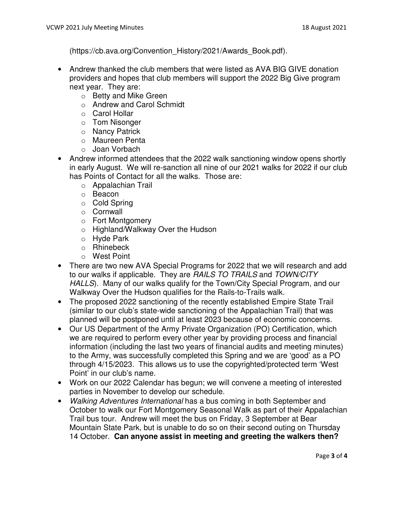(https://cb.ava.org/Convention\_History/2021/Awards\_Book.pdf).

- Andrew thanked the club members that were listed as AVA BIG GIVE donation providers and hopes that club members will support the 2022 Big Give program next year. They are:
	- o Betty and Mike Green
	- o Andrew and Carol Schmidt
	- o Carol Hollar
	- o Tom Nisonger
	- o Nancy Patrick
	- o Maureen Penta
	- o Joan Vorbach
- Andrew informed attendees that the 2022 walk sanctioning window opens shortly in early August. We will re-sanction all nine of our 2021 walks for 2022 if our club has Points of Contact for all the walks. Those are:
	- o Appalachian Trail
	- o Beacon
	- o Cold Spring
	- o Cornwall
	- o Fort Montgomery
	- o Highland/Walkway Over the Hudson
	- o Hyde Park
	- o Rhinebeck
	- o West Point
- There are two new AVA Special Programs for 2022 that we will research and add to our walks if applicable. They are RAILS TO TRAILS and TOWN/CITY HALLS). Many of our walks qualify for the Town/City Special Program, and our Walkway Over the Hudson qualifies for the Rails-to-Trails walk.
- The proposed 2022 sanctioning of the recently established Empire State Trail (similar to our club's state-wide sanctioning of the Appalachian Trail) that was planned will be postponed until at least 2023 because of economic concerns.
- Our US Department of the Army Private Organization (PO) Certification, which we are required to perform every other year by providing process and financial information (including the last two years of financial audits and meeting minutes) to the Army, was successfully completed this Spring and we are 'good' as a PO through 4/15/2023. This allows us to use the copyrighted/protected term 'West Point' in our club's name.
- Work on our 2022 Calendar has begun; we will convene a meeting of interested parties in November to develop our schedule.
- Walking Adventures International has a bus coming in both September and October to walk our Fort Montgomery Seasonal Walk as part of their Appalachian Trail bus tour. Andrew will meet the bus on Friday, 3 September at Bear Mountain State Park, but is unable to do so on their second outing on Thursday 14 October. **Can anyone assist in meeting and greeting the walkers then?**